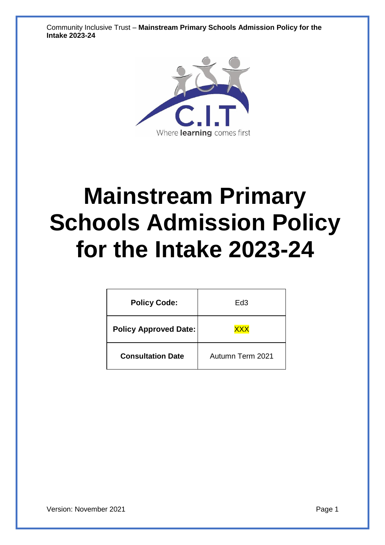Community Inclusive Trust – **Mainstream Primary Schools Admission Policy for the Intake 2023-24**



# **Mainstream Primary Schools Admission Policy for the Intake 2023-24**

| <b>Policy Code:</b>          | Ed <sub>3</sub>  |  |
|------------------------------|------------------|--|
| <b>Policy Approved Date:</b> | XXX              |  |
| <b>Consultation Date</b>     | Autumn Term 2021 |  |

Version: November 2021 **Page 1**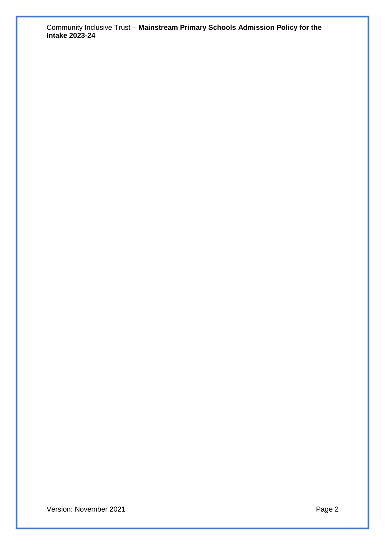Community Inclusive Trust – **Mainstream Primary Schools Admission Policy for the Intake 2023-24**

Version: November 2021 **Page 2**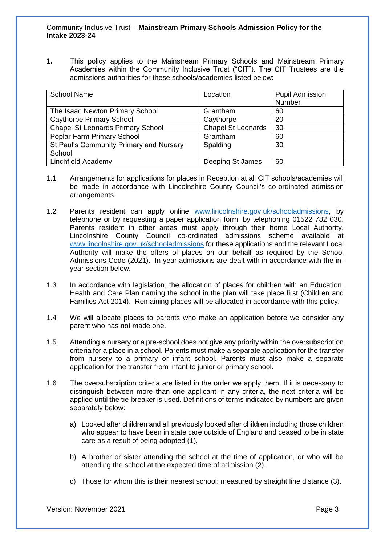**1.** This policy applies to the Mainstream Primary Schools and Mainstream Primary Academies within the Community Inclusive Trust ("CIT"). The CIT Trustees are the admissions authorities for these schools/academies listed below:

| <b>School Name</b>                       | Location                  | <b>Pupil Admission</b> |
|------------------------------------------|---------------------------|------------------------|
|                                          |                           | Number                 |
| The Isaac Newton Primary School          | Grantham                  | 60                     |
| <b>Caythorpe Primary School</b>          | Caythorpe                 | 20                     |
| <b>Chapel St Leonards Primary School</b> | <b>Chapel St Leonards</b> | 30                     |
| Poplar Farm Primary School               | Grantham                  | 60                     |
| St Paul's Community Primary and Nursery  | Spalding                  | 30                     |
| School                                   |                           |                        |
| <b>Linchfield Academy</b>                | Deeping St James          | 60                     |

- 1.1 Arrangements for applications for places in Reception at all CIT schools/academies will be made in accordance with Lincolnshire County Council's co-ordinated admission arrangements.
- 1.2 Parents resident can apply online [www.lincolnshire.gov.uk/schooladmissions,](http://www.lincolnshire.gov.uk/schooladmissions) by telephone or by requesting a paper application form, by telephoning 01522 782 030. Parents resident in other areas must apply through their home Local Authority. Lincolnshire County Council co-ordinated admissions scheme available at [www.lincolnshire.gov.uk/schooladmissions](http://www.lincolnshire.gov.uk/schooladmissions) for these applications and the relevant Local Authority will make the offers of places on our behalf as required by the School Admissions Code (2021). In year admissions are dealt with in accordance with the inyear section below.
- 1.3 In accordance with legislation, the allocation of places for children with an Education, Health and Care Plan naming the school in the plan will take place first (Children and Families Act 2014). Remaining places will be allocated in accordance with this policy.
- 1.4 We will allocate places to parents who make an application before we consider any parent who has not made one.
- 1.5 Attending a nursery or a pre-school does not give any priority within the oversubscription criteria for a place in a school. Parents must make a separate application for the transfer from nursery to a primary or infant school. Parents must also make a separate application for the transfer from infant to junior or primary school.
- 1.6 The oversubscription criteria are listed in the order we apply them. If it is necessary to distinguish between more than one applicant in any criteria, the next criteria will be applied until the tie-breaker is used. Definitions of terms indicated by numbers are given separately below:
	- a) Looked after children and all previously looked after children including those children who appear to have been in state care outside of England and ceased to be in state care as a result of being adopted (1).
	- b) A brother or sister attending the school at the time of application, or who will be attending the school at the expected time of admission (2).
	- c) Those for whom this is their nearest school: measured by straight line distance (3).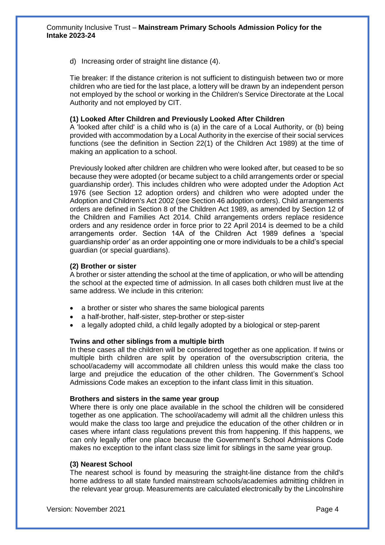d) Increasing order of straight line distance (4).

Tie breaker: If the distance criterion is not sufficient to distinguish between two or more children who are tied for the last place, a lottery will be drawn by an independent person not employed by the school or working in the Children's Service Directorate at the Local Authority and not employed by CIT.

# **(1) Looked After Children and Previously Looked After Children**

A 'looked after child' is a child who is (a) in the care of a Local Authority, or (b) being provided with accommodation by a Local Authority in the exercise of their social services functions (see the definition in Section 22(1) of the Children Act 1989) at the time of making an application to a school.

Previously looked after children are children who were looked after, but ceased to be so because they were adopted (or became subject to a child arrangements order or special guardianship order). This includes children who were adopted under the Adoption Act 1976 (see Section 12 adoption orders) and children who were adopted under the Adoption and Children's Act 2002 (see Section 46 adoption orders). Child arrangements orders are defined in Section 8 of the Children Act 1989, as amended by Section 12 of the Children and Families Act 2014. Child arrangements orders replace residence orders and any residence order in force prior to 22 April 2014 is deemed to be a child arrangements order. Section 14A of the Children Act 1989 defines a 'special guardianship order' as an order appointing one or more individuals to be a child's special guardian (or special guardians).

# **(2) Brother or sister**

A brother or sister attending the school at the time of application, or who will be attending the school at the expected time of admission. In all cases both children must live at the same address. We include in this criterion:

- a brother or sister who shares the same biological parents
- a half-brother, half-sister, step-brother or step-sister
- a legally adopted child, a child legally adopted by a biological or step-parent

# **Twins and other siblings from a multiple birth**

In these cases all the children will be considered together as one application. If twins or multiple birth children are split by operation of the oversubscription criteria, the school/academy will accommodate all children unless this would make the class too large and prejudice the education of the other children. The Government's School Admissions Code makes an exception to the infant class limit in this situation.

## **Brothers and sisters in the same year group**

Where there is only one place available in the school the children will be considered together as one application. The school/academy will admit all the children unless this would make the class too large and prejudice the education of the other children or in cases where infant class regulations prevent this from happening. If this happens, we can only legally offer one place because the Government's School Admissions Code makes no exception to the infant class size limit for siblings in the same year group.

## **(3) Nearest School**

The nearest school is found by measuring the straight-line distance from the child's home address to all state funded mainstream schools/academies admitting children in the relevant year group. Measurements are calculated electronically by the Lincolnshire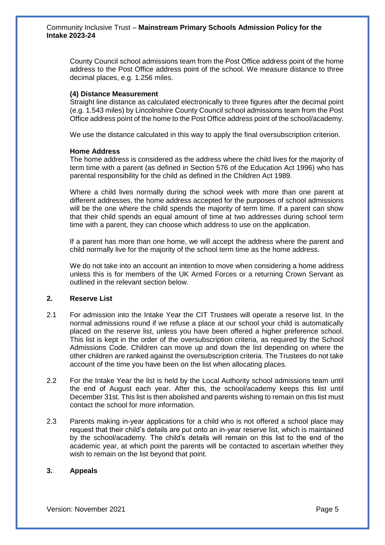County Council school admissions team from the Post Office address point of the home address to the Post Office address point of the school. We measure distance to three decimal places, e.g. 1.256 miles.

## **(4) Distance Measurement**

Straight line distance as calculated electronically to three figures after the decimal point (e.g. 1.543 miles) by Lincolnshire County Council school admissions team from the Post Office address point of the home to the Post Office address point of the school/academy.

We use the distance calculated in this way to apply the final oversubscription criterion.

#### **Home Address**

The home address is considered as the address where the child lives for the majority of term time with a parent (as defined in Section 576 of the Education Act 1996) who has parental responsibility for the child as defined in the Children Act 1989.

Where a child lives normally during the school week with more than one parent at different addresses, the home address accepted for the purposes of school admissions will be the one where the child spends the majority of term time. If a parent can show that their child spends an equal amount of time at two addresses during school term time with a parent, they can choose which address to use on the application.

If a parent has more than one home, we will accept the address where the parent and child normally live for the majority of the school term time as the home address.

We do not take into an account an intention to move when considering a home address unless this is for members of the UK Armed Forces or a returning Crown Servant as outlined in the relevant section below.

## **2. Reserve List**

- 2.1 For admission into the Intake Year the CIT Trustees will operate a reserve list. In the normal admissions round if we refuse a place at our school your child is automatically placed on the reserve list, unless you have been offered a higher preference school. This list is kept in the order of the oversubscription criteria, as required by the School Admissions Code. Children can move up and down the list depending on where the other children are ranked against the oversubscription criteria. The Trustees do not take account of the time you have been on the list when allocating places.
- 2.2 For the Intake Year the list is held by the Local Authority school admissions team until the end of August each year. After this, the school/academy keeps this list until December 31st. This list is then abolished and parents wishing to remain on this list must contact the school for more information.
- 2.3 Parents making in-year applications for a child who is not offered a school place may request that their child's details are put onto an in-year reserve list, which is maintained by the school/academy. The child's details will remain on this list to the end of the academic year, at which point the parents will be contacted to ascertain whether they wish to remain on the list beyond that point.

## **3. Appeals**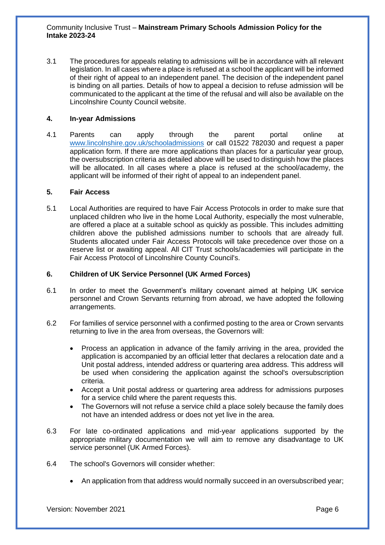3.1 The procedures for appeals relating to admissions will be in accordance with all relevant legislation. In all cases where a place is refused at a school the applicant will be informed of their right of appeal to an independent panel. The decision of the independent panel is binding on all parties. Details of how to appeal a decision to refuse admission will be communicated to the applicant at the time of the refusal and will also be available on the Lincolnshire County Council website.

# **4. In-year Admissions**

4.1 Parents can apply through the parent portal online at [www.lincolnshire.gov.uk/schooladmissions](http://www.lincolnshire.gov.uk/schooladmissions) or call 01522 782030 and request a paper application form. If there are more applications than places for a particular year group, the oversubscription criteria as detailed above will be used to distinguish how the places will be allocated. In all cases where a place is refused at the school/academy, the applicant will be informed of their right of appeal to an independent panel.

# **5. Fair Access**

5.1 Local Authorities are required to have Fair Access Protocols in order to make sure that unplaced children who live in the home Local Authority, especially the most vulnerable, are offered a place at a suitable school as quickly as possible. This includes admitting children above the published admissions number to schools that are already full. Students allocated under Fair Access Protocols will take precedence over those on a reserve list or awaiting appeal. All CIT Trust schools/academies will participate in the Fair Access Protocol of Lincolnshire County Council's.

## **6. Children of UK Service Personnel (UK Armed Forces)**

- 6.1 In order to meet the Government's military covenant aimed at helping UK service personnel and Crown Servants returning from abroad, we have adopted the following arrangements.
- 6.2 For families of service personnel with a confirmed posting to the area or Crown servants returning to live in the area from overseas, the Governors will:
	- Process an application in advance of the family arriving in the area, provided the application is accompanied by an official letter that declares a relocation date and a Unit postal address, intended address or quartering area address. This address will be used when considering the application against the school's oversubscription criteria.
	- Accept a Unit postal address or quartering area address for admissions purposes for a service child where the parent requests this.
	- The Governors will not refuse a service child a place solely because the family does not have an intended address or does not yet live in the area.
- 6.3 For late co‐ordinated applications and mid-year applications supported by the appropriate military documentation we will aim to remove any disadvantage to UK service personnel (UK Armed Forces).
- 6.4 The school's Governors will consider whether:
	- An application from that address would normally succeed in an oversubscribed year;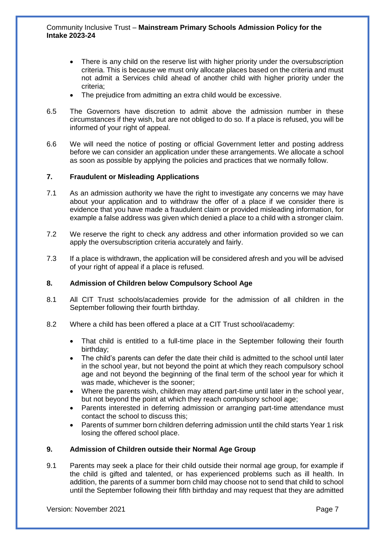- There is any child on the reserve list with higher priority under the oversubscription criteria. This is because we must only allocate places based on the criteria and must not admit a Services child ahead of another child with higher priority under the criteria;
- The prejudice from admitting an extra child would be excessive.
- 6.5 The Governors have discretion to admit above the admission number in these circumstances if they wish, but are not obliged to do so. If a place is refused, you will be informed of your right of appeal.
- 6.6 We will need the notice of posting or official Government letter and posting address before we can consider an application under these arrangements. We allocate a school as soon as possible by applying the policies and practices that we normally follow.

## **7. Fraudulent or Misleading Applications**

- 7.1 As an admission authority we have the right to investigate any concerns we may have about your application and to withdraw the offer of a place if we consider there is evidence that you have made a fraudulent claim or provided misleading information, for example a false address was given which denied a place to a child with a stronger claim.
- 7.2 We reserve the right to check any address and other information provided so we can apply the oversubscription criteria accurately and fairly.
- 7.3 If a place is withdrawn, the application will be considered afresh and you will be advised of your right of appeal if a place is refused.

## **8. Admission of Children below Compulsory School Age**

- 8.1 All CIT Trust schools/academies provide for the admission of all children in the September following their fourth birthday.
- 8.2 Where a child has been offered a place at a CIT Trust school/academy:
	- That child is entitled to a full-time place in the September following their fourth birthday;
	- The child's parents can defer the date their child is admitted to the school until later in the school year, but not beyond the point at which they reach compulsory school age and not beyond the beginning of the final term of the school year for which it was made, whichever is the sooner;
	- Where the parents wish, children may attend part-time until later in the school year, but not beyond the point at which they reach compulsory school age;
	- Parents interested in deferring admission or arranging part-time attendance must contact the school to discuss this;
	- Parents of summer born children deferring admission until the child starts Year 1 risk losing the offered school place.

## **9. Admission of Children outside their Normal Age Group**

9.1 Parents may seek a place for their child outside their normal age group, for example if the child is gifted and talented, or has experienced problems such as ill health. In addition, the parents of a summer born child may choose not to send that child to school until the September following their fifth birthday and may request that they are admitted